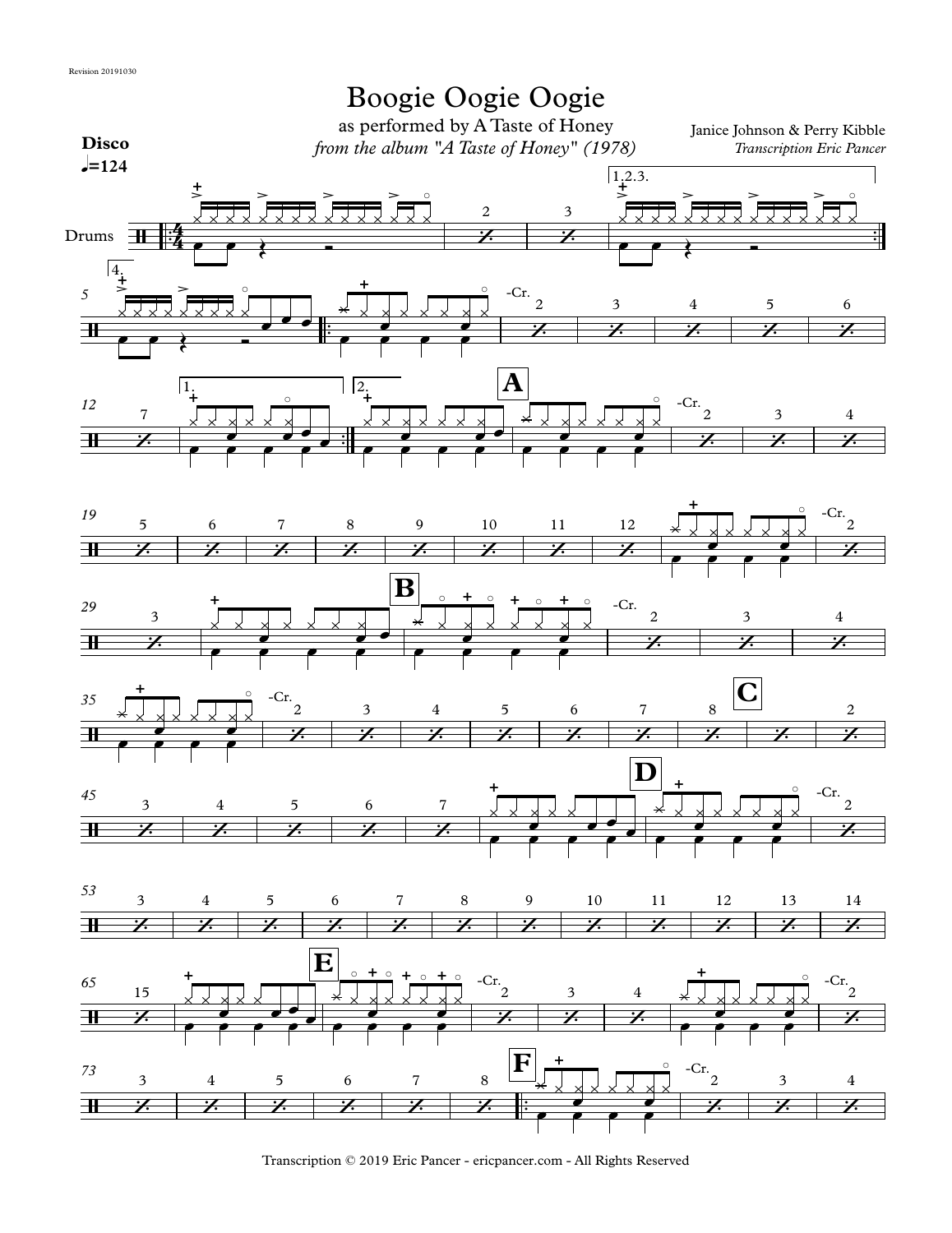

Transcription © 2019 Eric Pancer - ericpancer.com - All Rights Reserved